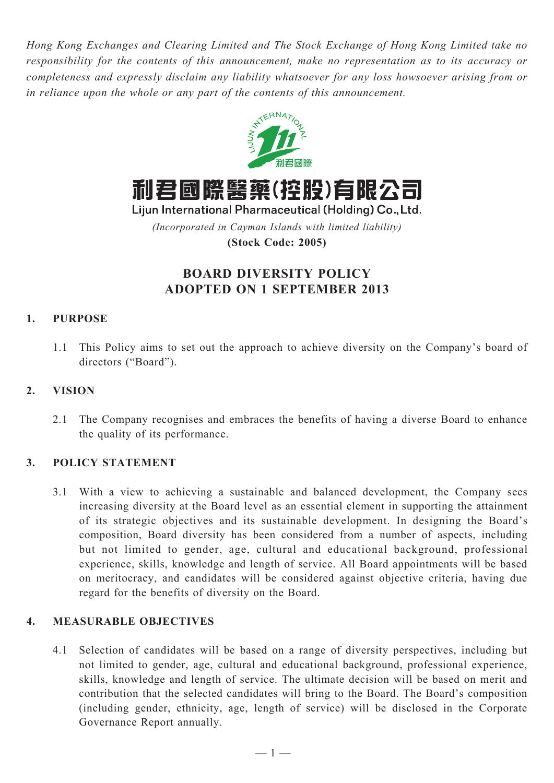*Hong Kong Exchanges and Clearing Limited and The Stock Exchange of Hong Kong Limited take no responsibility for the contents of this announcement, make no representation as to its accuracy or completeness and expressly disclaim any liability whatsoever for any loss howsoever arising from or in reliance upon the whole or any part of the contents of this announcement.*



利君國際醫藥(控股)有限公司

Lijun International Pharmaceutical (Holding) Co., Ltd. *(Incorporated in Cayman Islands with limited liability)*

**(Stock Code: 2005)**

# **BOARD DIVERSITY POLICY ADOPTED ON 1 SEPTEMBER 2013**

## **1. Purpose**

1.1 This Policy aims to set out the approach to achieve diversity on the Company's board of directors ("Board").

### **2. Vision**

2.1 The Company recognises and embraces the benefits of having a diverse Board to enhance the quality of its performance.

#### **3. Policy Statement**

3.1 With a view to achieving a sustainable and balanced development, the Company sees increasing diversity at the Board level as an essential element in supporting the attainment of its strategic objectives and its sustainable development. In designing the Board's composition, Board diversity has been considered from a number of aspects, including but not limited to gender, age, cultural and educational background, professional experience, skills, knowledge and length of service. All Board appointments will be based on meritocracy, and candidates will be considered against objective criteria, having due regard for the benefits of diversity on the Board.

#### **4. Measurable Objectives**

4.1 Selection of candidates will be based on a range of diversity perspectives, including but not limited to gender, age, cultural and educational background, professional experience, skills, knowledge and length of service. The ultimate decision will be based on merit and contribution that the selected candidates will bring to the Board. The Board's composition (including gender, ethnicity, age, length of service) will be disclosed in the Corporate Governance Report annually.